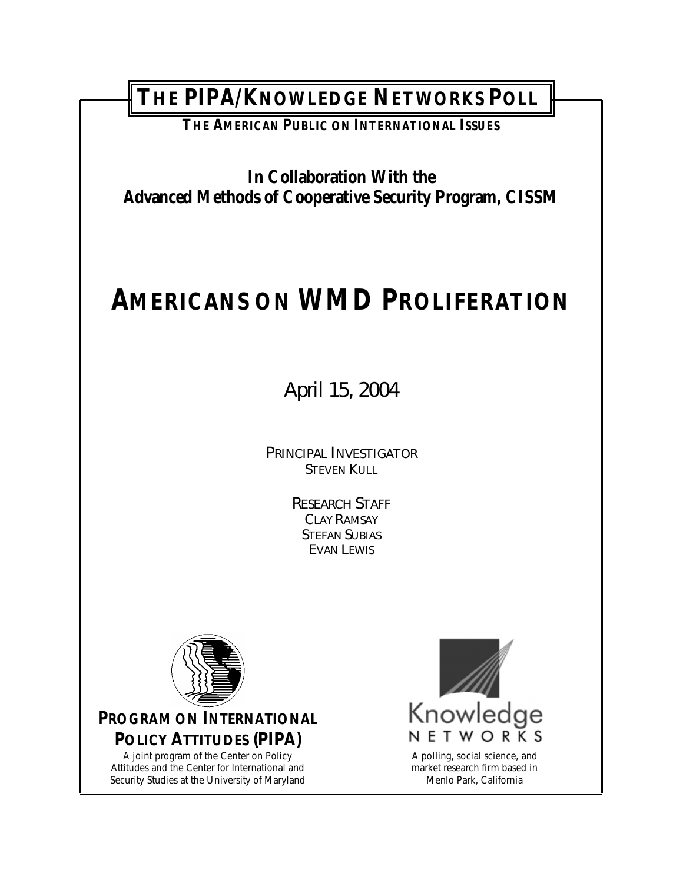**THE PIPA/KNOWLEDGE NETWORKS POLL** 

**THE AMERICAN PUBLIC ON INTERNATIONAL ISSUES**

**In Collaboration With the Advanced Methods of Cooperative Security Program, CISSM** 

# **AMERICANS ON WMD PROLIFERATION**

April 15, 2004

*PRINCIPAL INVESTIGATOR* STEVEN KULL

> *RESEARCH STAFF* CLAY RAMSAY STEFAN SUBIAS EVAN LEWIS



**PROGRAM ON INTERNATIONAL POLICY ATTITUDES (PIPA)**

A joint program of the Center on Policy Attitudes and the Center for International and Security Studies at the University of Maryland



market research firm based in Menlo Park, California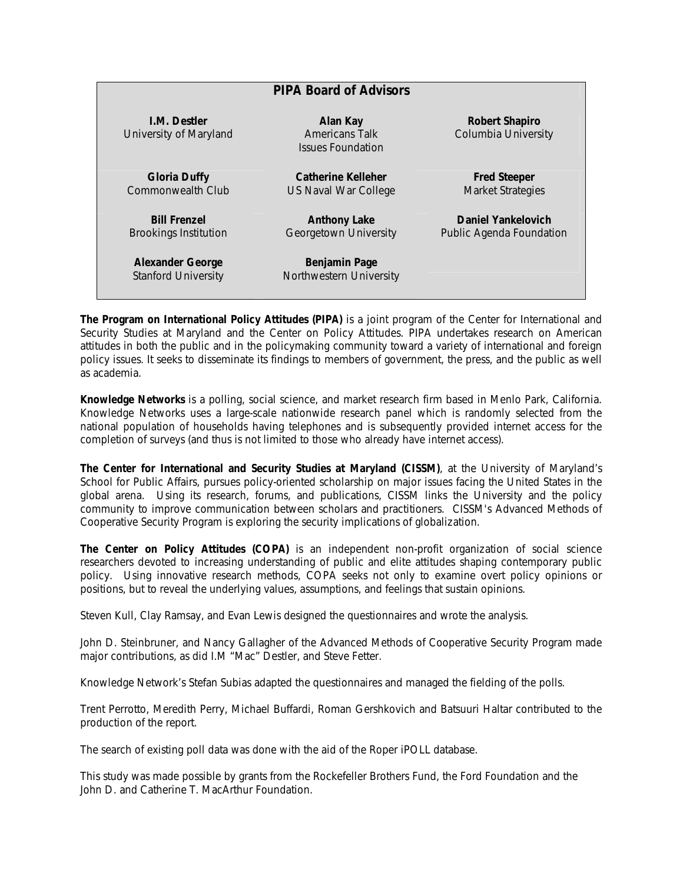| <b>PIPA Board of Advisors</b>                         |                                                               |                                                 |  |  |
|-------------------------------------------------------|---------------------------------------------------------------|-------------------------------------------------|--|--|
| <b>I.M. Destler</b><br>University of Maryland         | Alan Kay<br><b>Americans Talk</b><br><b>Issues Foundation</b> | Robert Shapiro<br>Columbia University           |  |  |
| <b>Gloria Duffy</b><br><b>Commonwealth Club</b>       | Catherine Kelleher<br>US Naval War College                    | <b>Fred Steeper</b><br><b>Market Strategies</b> |  |  |
| <b>Bill Frenzel</b><br><b>Brookings Institution</b>   | <b>Anthony Lake</b><br>Georgetown University                  | Daniel Yankelovich<br>Public Agenda Foundation  |  |  |
| <b>Alexander George</b><br><b>Stanford University</b> | <b>Benjamin Page</b><br>Northwestern University               |                                                 |  |  |

**The Program on International Policy Attitudes (PIPA)** is a joint program of the Center for International and Security Studies at Maryland and the Center on Policy Attitudes. PIPA undertakes research on American attitudes in both the public and in the policymaking community toward a variety of international and foreign policy issues. It seeks to disseminate its findings to members of government, the press, and the public as well as academia.

**Knowledge Networks** is a polling, social science, and market research firm based in Menlo Park, California. Knowledge Networks uses a large-scale nationwide research panel which is randomly selected from the national population of households having telephones and is subsequently provided internet access for the completion of surveys (and thus is not limited to those who already have internet access).

**The Center for International and Security Studies at Maryland (CISSM)**, at the University of Maryland's School for Public Affairs, pursues policy-oriented scholarship on major issues facing the United States in the global arena. Using its research, forums, and publications, CISSM links the University and the policy community to improve communication between scholars and practitioners. CISSM's Advanced Methods of Cooperative Security Program is exploring the security implications of globalization.

**The Center on Policy Attitudes (COPA)** is an independent non-profit organization of social science researchers devoted to increasing understanding of public and elite attitudes shaping contemporary public policy. Using innovative research methods, COPA seeks not only to examine overt policy opinions or positions, but to reveal the underlying values, assumptions, and feelings that sustain opinions.

Steven Kull, Clay Ramsay, and Evan Lewis designed the questionnaires and wrote the analysis.

John D. Steinbruner, and Nancy Gallagher of the Advanced Methods of Cooperative Security Program made major contributions, as did I.M "Mac" Destler, and Steve Fetter.

Knowledge Network's Stefan Subias adapted the questionnaires and managed the fielding of the polls.

Trent Perrotto, Meredith Perry, Michael Buffardi, Roman Gershkovich and Batsuuri Haltar contributed to the production of the report.

The search of existing poll data was done with the aid of the Roper iPOLL database.

This study was made possible by grants from the Rockefeller Brothers Fund, the Ford Foundation and the John D. and Catherine T. MacArthur Foundation.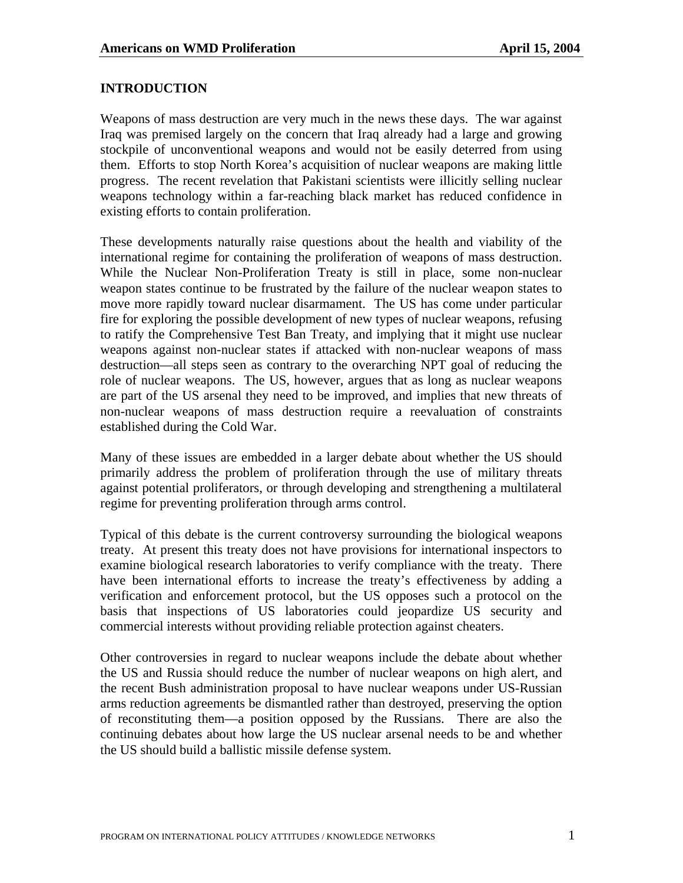#### **INTRODUCTION**

Weapons of mass destruction are very much in the news these days. The war against Iraq was premised largely on the concern that Iraq already had a large and growing stockpile of unconventional weapons and would not be easily deterred from using them. Efforts to stop North Korea's acquisition of nuclear weapons are making little progress. The recent revelation that Pakistani scientists were illicitly selling nuclear weapons technology within a far-reaching black market has reduced confidence in existing efforts to contain proliferation.

These developments naturally raise questions about the health and viability of the international regime for containing the proliferation of weapons of mass destruction. While the Nuclear Non-Proliferation Treaty is still in place, some non-nuclear weapon states continue to be frustrated by the failure of the nuclear weapon states to move more rapidly toward nuclear disarmament. The US has come under particular fire for exploring the possible development of new types of nuclear weapons, refusing to ratify the Comprehensive Test Ban Treaty, and implying that it might use nuclear weapons against non-nuclear states if attacked with non-nuclear weapons of mass destruction—all steps seen as contrary to the overarching NPT goal of reducing the role of nuclear weapons. The US, however, argues that as long as nuclear weapons are part of the US arsenal they need to be improved, and implies that new threats of non-nuclear weapons of mass destruction require a reevaluation of constraints established during the Cold War.

Many of these issues are embedded in a larger debate about whether the US should primarily address the problem of proliferation through the use of military threats against potential proliferators, or through developing and strengthening a multilateral regime for preventing proliferation through arms control.

Typical of this debate is the current controversy surrounding the biological weapons treaty. At present this treaty does not have provisions for international inspectors to examine biological research laboratories to verify compliance with the treaty. There have been international efforts to increase the treaty's effectiveness by adding a verification and enforcement protocol, but the US opposes such a protocol on the basis that inspections of US laboratories could jeopardize US security and commercial interests without providing reliable protection against cheaters.

Other controversies in regard to nuclear weapons include the debate about whether the US and Russia should reduce the number of nuclear weapons on high alert, and the recent Bush administration proposal to have nuclear weapons under US-Russian arms reduction agreements be dismantled rather than destroyed, preserving the option of reconstituting them—a position opposed by the Russians. There are also the continuing debates about how large the US nuclear arsenal needs to be and whether the US should build a ballistic missile defense system.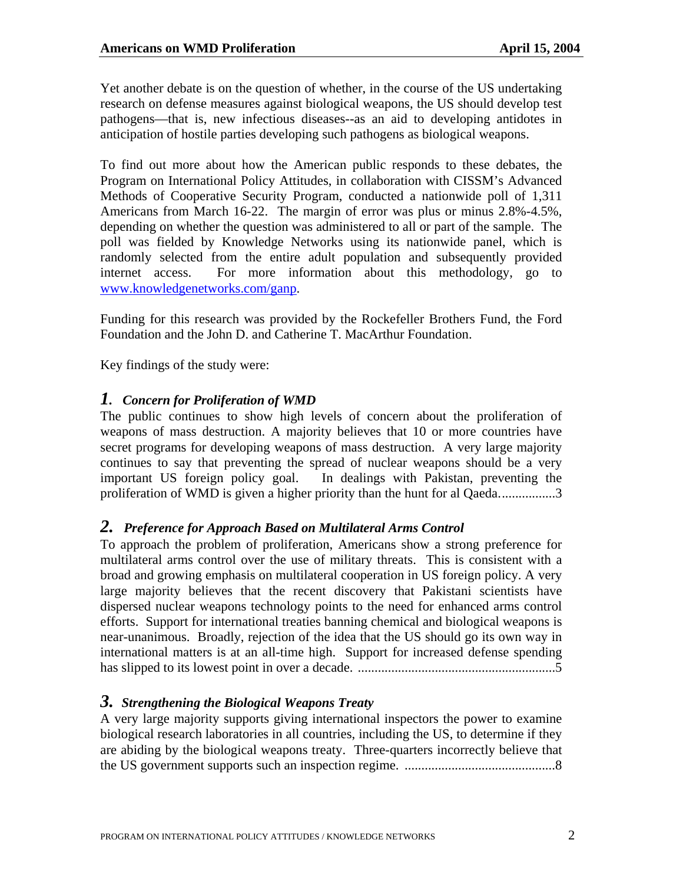Yet another debate is on the question of whether, in the course of the US undertaking research on defense measures against biological weapons, the US should develop test pathogens—that is, new infectious diseases--as an aid to developing antidotes in anticipation of hostile parties developing such pathogens as biological weapons.

To find out more about how the American public responds to these debates, the Program on International Policy Attitudes, in collaboration with CISSM's Advanced Methods of Cooperative Security Program, conducted a nationwide poll of 1,311 Americans from March 16-22. The margin of error was plus or minus 2.8%-4.5%, depending on whether the question was administered to all or part of the sample. The poll was fielded by Knowledge Networks using its nationwide panel, which is randomly selected from the entire adult population and subsequently provided internet access. For more information about this methodology, go to [www.knowledgenetworks.com/ganp.](http://www.knowledgenetworks.com/ganp)

Funding for this research was provided by the Rockefeller Brothers Fund, the Ford Foundation and the John D. and Catherine T. MacArthur Foundation.

Key findings of the study were:

## *1.**Concern for Proliferation of WMD*

The public continues to show high levels of concern about the proliferation of weapons of mass destruction. A majority believes that 10 or more countries have secret programs for developing weapons of mass destruction. A very large majority continues to say that preventing the spread of nuclear weapons should be a very important US foreign policy goal. In dealings with Pakistan, preventing the proliferation of WMD is given a higher priority than the hunt for al Qaeda.................3

#### *2.**Preference for Approach Based on Multilateral Arms Control*

To approach the problem of proliferation, Americans show a strong preference for multilateral arms control over the use of military threats. This is consistent with a broad and growing emphasis on multilateral cooperation in US foreign policy. A very large majority believes that the recent discovery that Pakistani scientists have dispersed nuclear weapons technology points to the need for enhanced arms control efforts. Support for international treaties banning chemical and biological weapons is near-unanimous. Broadly, rejection of the idea that the US should go its own way in international matters is at an all-time high. Support for increased defense spending has slipped to its lowest point in over a decade. ...........................................................5

## *3. Strengthening the Biological Weapons Treaty*

A very large majority supports giving international inspectors the power to examine biological research laboratories in all countries, including the US, to determine if they are abiding by the biological weapons treaty. Three-quarters incorrectly believe that the US government supports such an inspection regime. .............................................8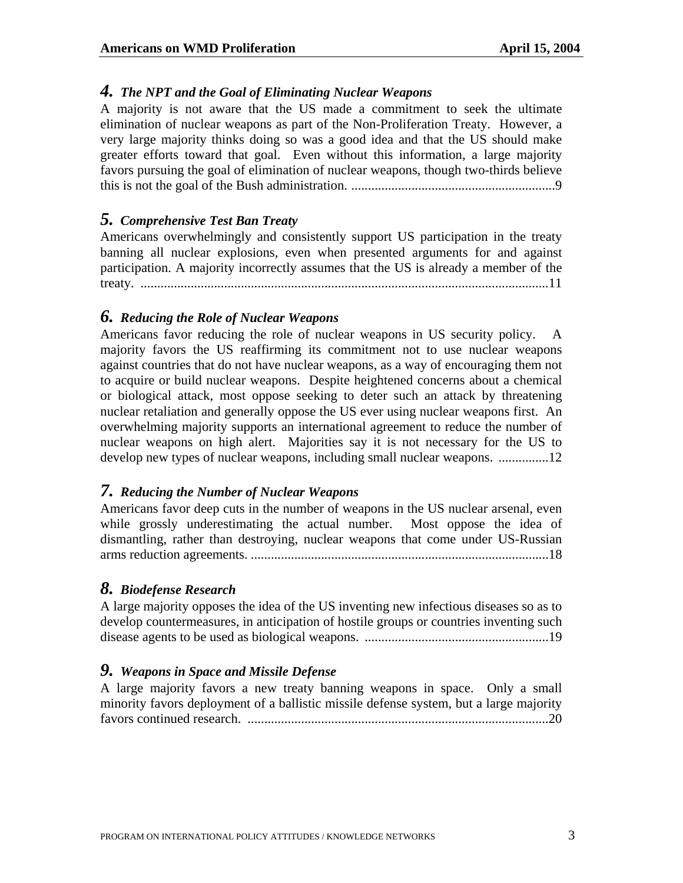## *4. The NPT and the Goal of Eliminating Nuclear Weapons*

A majority is not aware that the US made a commitment to seek the ultimate elimination of nuclear weapons as part of the Non-Proliferation Treaty. However, a very large majority thinks doing so was a good idea and that the US should make greater efforts toward that goal. Even without this information, a large majority favors pursuing the goal of elimination of nuclear weapons, though two-thirds believe this is not the goal of the Bush administration. .............................................................9

## *5. Comprehensive Test Ban Treaty*

Americans overwhelmingly and consistently support US participation in the treaty banning all nuclear explosions, even when presented arguments for and against participation. A majority incorrectly assumes that the US is already a member of the treaty. ..........................................................................................................................11

#### *6. Reducing the Role of Nuclear Weapons*

Americans favor reducing the role of nuclear weapons in US security policy. A majority favors the US reaffirming its commitment not to use nuclear weapons against countries that do not have nuclear weapons, as a way of encouraging them not to acquire or build nuclear weapons. Despite heightened concerns about a chemical or biological attack, most oppose seeking to deter such an attack by threatening nuclear retaliation and generally oppose the US ever using nuclear weapons first. An overwhelming majority supports an international agreement to reduce the number of nuclear weapons on high alert. Majorities say it is not necessary for the US to develop new types of nuclear weapons, including small nuclear weapons. .................12

## *7. Reducing the Number of Nuclear Weapons*

Americans favor deep cuts in the number of weapons in the US nuclear arsenal, even while grossly underestimating the actual number. Most oppose the idea of dismantling, rather than destroying, nuclear weapons that come under US-Russian arms reduction agreements. .........................................................................................18

#### *8. Biodefense Research*

A large majority opposes the idea of the US inventing new infectious diseases so as to develop countermeasures, in anticipation of hostile groups or countries inventing such disease agents to be used as biological weapons. .......................................................19

#### *9. Weapons in Space and Missile Defense*

A large majority favors a new treaty banning weapons in space. Only a small minority favors deployment of a ballistic missile defense system, but a large majority favors continued research. ..........................................................................................20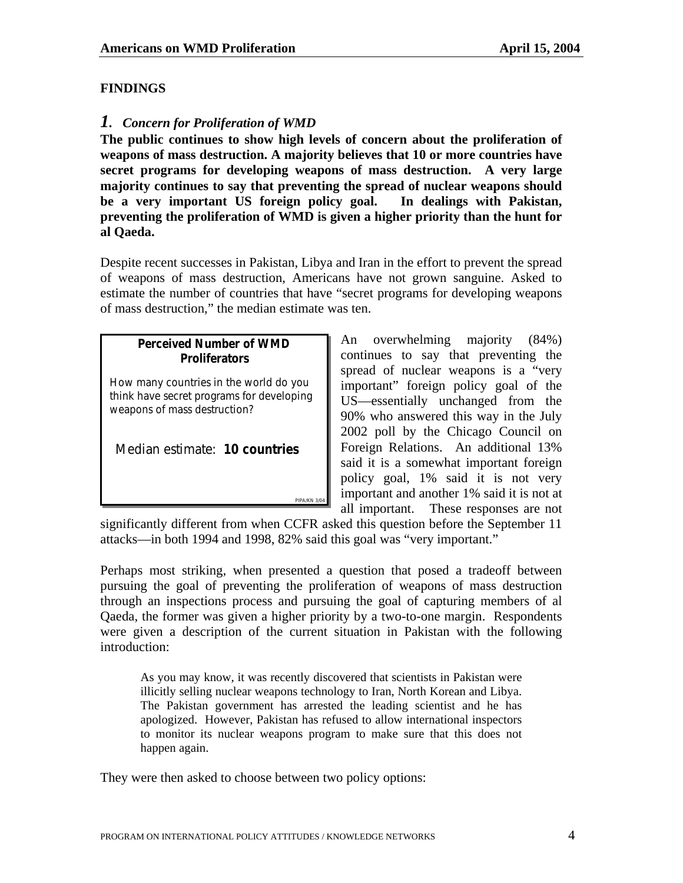## **FINDINGS**

## *1. Concern for Proliferation of WMD*

**The public continues to show high levels of concern about the proliferation of weapons of mass destruction. A majority believes that 10 or more countries have secret programs for developing weapons of mass destruction. A very large majority continues to say that preventing the spread of nuclear weapons should be a very important US foreign policy goal. In dealings with Pakistan, preventing the proliferation of WMD is given a higher priority than the hunt for al Qaeda.** 

Despite recent successes in Pakistan, Libya and Iran in the effort to prevent the spread of weapons of mass destruction, Americans have not grown sanguine. Asked to estimate the number of countries that have "secret programs for developing weapons of mass destruction," the median estimate was ten.

## **Perceived Number of WMD Perceived Number of WMD Proliferators Proliferators**

*How many countries in the world do you How many countries in the world do you think have secret programs for developing think have secret programs for developing weapons of mass destruction? weapons of mass destruction?*

Median estimate: **10 countries** Median estimate: **10 countries**

An overwhelming majority (84%) continues to say that preventing the spread of nuclear weapons is a "very important" foreign policy goal of the US—essentially unchanged from the 90% who answered this way in the July 2002 poll by the Chicago Council on Foreign Relations. An additional 13% said it is a somewhat important foreign policy goal, 1% said it is not very important and another 1% said it is not at all important. These responses are not

significantly different from when CCFR asked this question before the September 11 attacks—in both 1994 and 1998, 82% said this goal was "very important."

*PIPA/KN 3/04*

*PIPA/KN 3/04*

Perhaps most striking, when presented a question that posed a tradeoff between pursuing the goal of preventing the proliferation of weapons of mass destruction through an inspections process and pursuing the goal of capturing members of al Qaeda, the former was given a higher priority by a two-to-one margin. Respondents were given a description of the current situation in Pakistan with the following introduction:

As you may know, it was recently discovered that scientists in Pakistan were illicitly selling nuclear weapons technology to Iran, North Korean and Libya. The Pakistan government has arrested the leading scientist and he has apologized. However, Pakistan has refused to allow international inspectors to monitor its nuclear weapons program to make sure that this does not happen again.

They were then asked to choose between two policy options: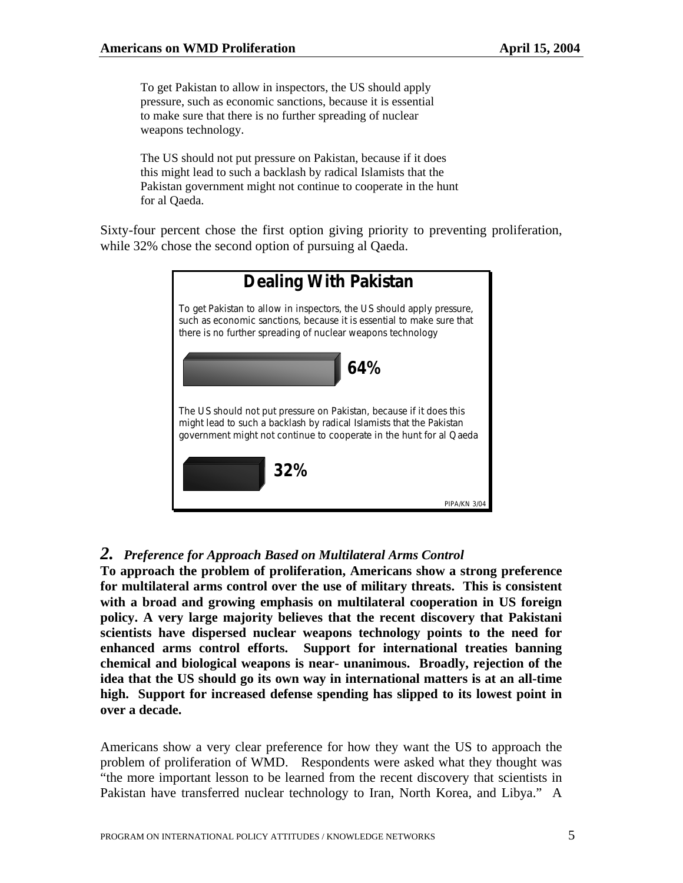To get Pakistan to allow in inspectors, the US should apply pressure, such as economic sanctions, because it is essential to make sure that there is no further spreading of nuclear weapons technology.

The US should not put pressure on Pakistan, because if it does this might lead to such a backlash by radical Islamists that the Pakistan government might not continue to cooperate in the hunt for al Qaeda.

Sixty-four percent chose the first option giving priority to preventing proliferation, while 32% chose the second option of pursuing al Qaeda.

| <b>Dealing With Pakistan</b>                                                                                                                                                                                       |  |  |
|--------------------------------------------------------------------------------------------------------------------------------------------------------------------------------------------------------------------|--|--|
| To get Pakistan to allow in inspectors, the US should apply pressure,<br>such as economic sanctions, because it is essential to make sure that<br>there is no further spreading of nuclear weapons technology      |  |  |
| 64%                                                                                                                                                                                                                |  |  |
| The US should not put pressure on Pakistan, because if it does this<br>might lead to such a backlash by radical Islamists that the Pakistan<br>government might not continue to cooperate in the hunt for al Qaeda |  |  |
| 32%                                                                                                                                                                                                                |  |  |
| PIPA/KN 3/                                                                                                                                                                                                         |  |  |

## *2. Preference for Approach Based on Multilateral Arms Control*

**To approach the problem of proliferation, Americans show a strong preference for multilateral arms control over the use of military threats. This is consistent with a broad and growing emphasis on multilateral cooperation in US foreign policy. A very large majority believes that the recent discovery that Pakistani scientists have dispersed nuclear weapons technology points to the need for enhanced arms control efforts. Support for international treaties banning chemical and biological weapons is near- unanimous. Broadly, rejection of the idea that the US should go its own way in international matters is at an all-time high. Support for increased defense spending has slipped to its lowest point in over a decade.** 

Americans show a very clear preference for how they want the US to approach the problem of proliferation of WMD. Respondents were asked what they thought was "the more important lesson to be learned from the recent discovery that scientists in Pakistan have transferred nuclear technology to Iran, North Korea, and Libya." A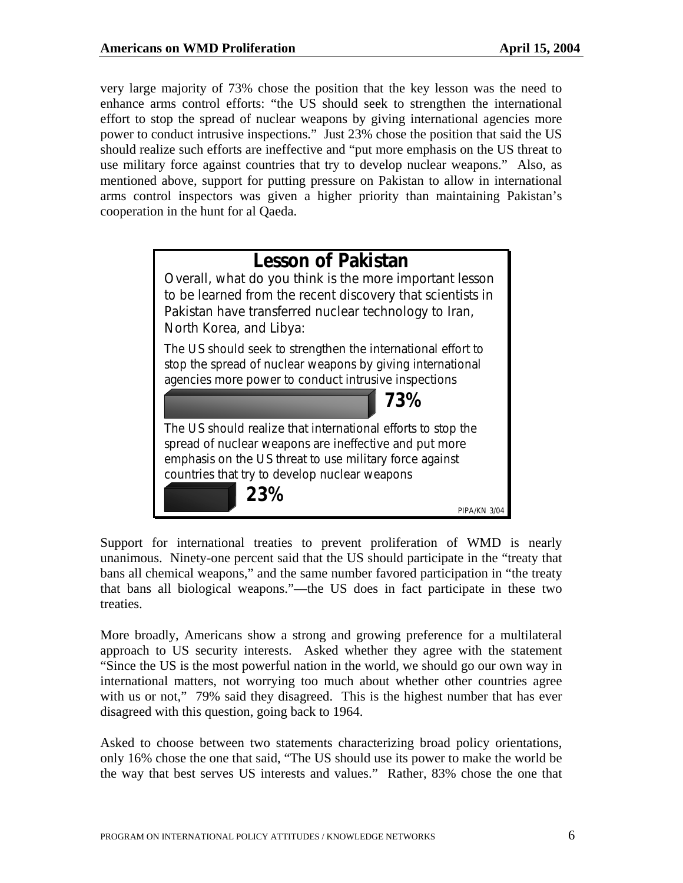very large majority of 73% chose the position that the key lesson was the need to enhance arms control efforts: "the US should seek to strengthen the international effort to stop the spread of nuclear weapons by giving international agencies more power to conduct intrusive inspections." Just 23% chose the position that said the US should realize such efforts are ineffective and "put more emphasis on the US threat to use military force against countries that try to develop nuclear weapons." Also, as mentioned above, support for putting pressure on Pakistan to allow in international arms control inspectors was given a higher priority than maintaining Pakistan's cooperation in the hunt for al Qaeda.



Support for international treaties to prevent proliferation of WMD is nearly unanimous. Ninety-one percent said that the US should participate in the "treaty that bans all chemical weapons," and the same number favored participation in "the treaty that bans all biological weapons."—the US does in fact participate in these two treaties.

More broadly, Americans show a strong and growing preference for a multilateral approach to US security interests. Asked whether they agree with the statement "Since the US is the most powerful nation in the world, we should go our own way in international matters, not worrying too much about whether other countries agree with us or not," 79% said they disagreed. This is the highest number that has ever disagreed with this question, going back to 1964.

Asked to choose between two statements characterizing broad policy orientations, only 16% chose the one that said, "The US should use its power to make the world be the way that best serves US interests and values." Rather, 83% chose the one that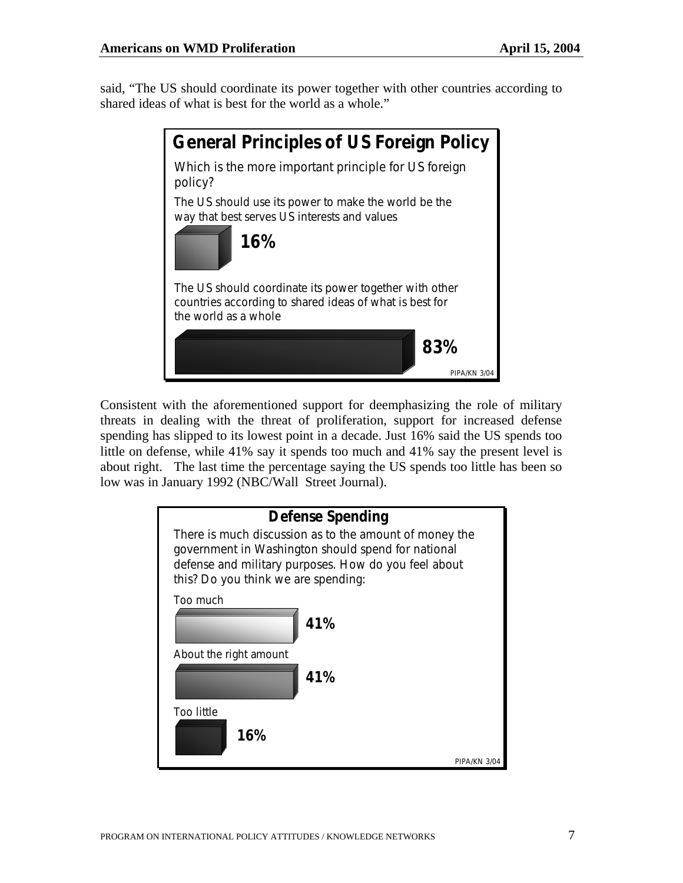said, "The US should coordinate its power together with other countries according to shared ideas of what is best for the world as a whole."



Consistent with the aforementioned support for deemphasizing the role of military threats in dealing with the threat of proliferation, support for increased defense spending has slipped to its lowest point in a decade. Just 16% said the US spends too little on defense, while 41% say it spends too much and 41% say the present level is about right. The last time the percentage saying the US spends too little has been so low was in January 1992 (NBC/Wall Street Journal).

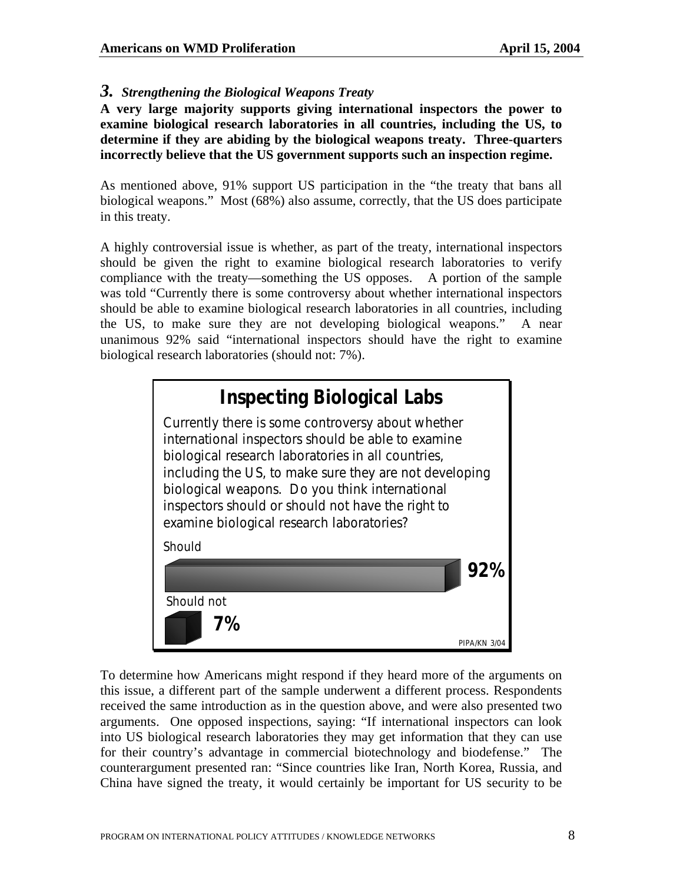#### *3. Strengthening the Biological Weapons Treaty*

**A very large majority supports giving international inspectors the power to examine biological research laboratories in all countries, including the US, to determine if they are abiding by the biological weapons treaty. Three-quarters incorrectly believe that the US government supports such an inspection regime.** 

As mentioned above, 91% support US participation in the "the treaty that bans all biological weapons." Most (68%) also assume, correctly, that the US does participate in this treaty.

A highly controversial issue is whether, as part of the treaty, international inspectors should be given the right to examine biological research laboratories to verify compliance with the treaty—something the US opposes. A portion of the sample was told "Currently there is some controversy about whether international inspectors should be able to examine biological research laboratories in all countries, including the US, to make sure they are not developing biological weapons." A near unanimous 92% said "international inspectors should have the right to examine biological research laboratories (should not: 7%).



To determine how Americans might respond if they heard more of the arguments on this issue, a different part of the sample underwent a different process. Respondents received the same introduction as in the question above, and were also presented two arguments. One opposed inspections, saying: "If international inspectors can look into US biological research laboratories they may get information that they can use for their country's advantage in commercial biotechnology and biodefense." The counterargument presented ran: "Since countries like Iran, North Korea, Russia, and China have signed the treaty, it would certainly be important for US security to be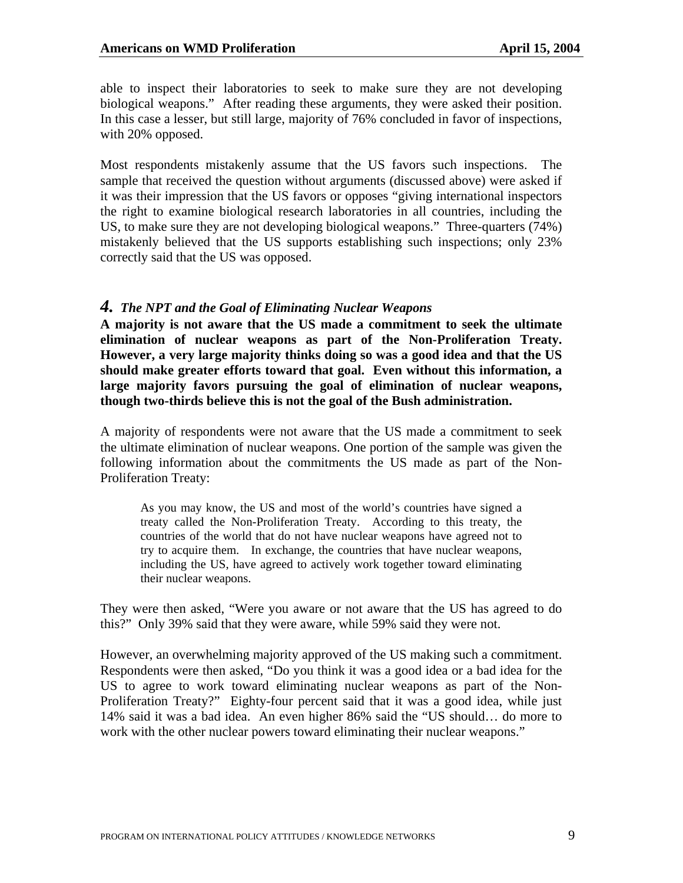able to inspect their laboratories to seek to make sure they are not developing biological weapons." After reading these arguments, they were asked their position. In this case a lesser, but still large, majority of 76% concluded in favor of inspections, with 20% opposed.

Most respondents mistakenly assume that the US favors such inspections. The sample that received the question without arguments (discussed above) were asked if it was their impression that the US favors or opposes "giving international inspectors the right to examine biological research laboratories in all countries, including the US, to make sure they are not developing biological weapons." Three-quarters (74%) mistakenly believed that the US supports establishing such inspections; only 23% correctly said that the US was opposed.

#### *4. The NPT and the Goal of Eliminating Nuclear Weapons*

**A majority is not aware that the US made a commitment to seek the ultimate elimination of nuclear weapons as part of the Non-Proliferation Treaty. However, a very large majority thinks doing so was a good idea and that the US should make greater efforts toward that goal. Even without this information, a large majority favors pursuing the goal of elimination of nuclear weapons, though two-thirds believe this is not the goal of the Bush administration.** 

A majority of respondents were not aware that the US made a commitment to seek the ultimate elimination of nuclear weapons. One portion of the sample was given the following information about the commitments the US made as part of the Non-Proliferation Treaty:

As you may know, the US and most of the world's countries have signed a treaty called the Non-Proliferation Treaty. According to this treaty, the countries of the world that do not have nuclear weapons have agreed not to try to acquire them. In exchange, the countries that have nuclear weapons, including the US, have agreed to actively work together toward eliminating their nuclear weapons.

They were then asked, "Were you aware or not aware that the US has agreed to do this?" Only 39% said that they were aware, while 59% said they were not.

However, an overwhelming majority approved of the US making such a commitment. Respondents were then asked, "Do you think it was a good idea or a bad idea for the US to agree to work toward eliminating nuclear weapons as part of the Non-Proliferation Treaty?" Eighty-four percent said that it was a good idea, while just 14% said it was a bad idea. An even higher 86% said the "US should… do more to work with the other nuclear powers toward eliminating their nuclear weapons."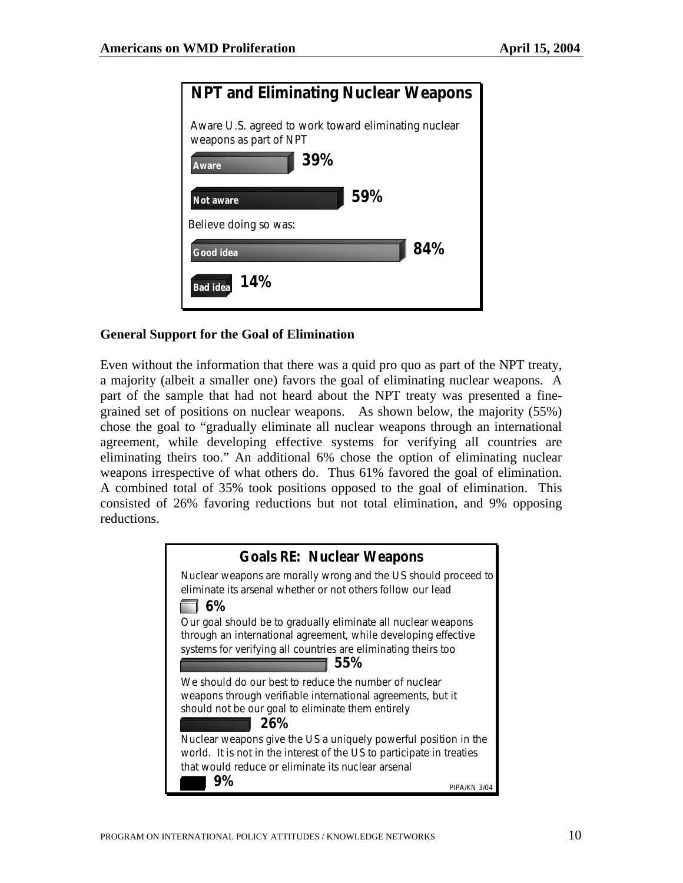| <b>NPT and Eliminating Nuclear Weapons</b>                                     |
|--------------------------------------------------------------------------------|
| Aware U.S. agreed to work toward eliminating nuclear<br>weapons as part of NPT |
| 39%<br>Aware                                                                   |
| 59%<br>Not aware                                                               |
| Believe doing so was:                                                          |
| 84%<br>Good idea                                                               |
| 14%<br>Bad idea                                                                |

#### **General Support for the Goal of Elimination**

Even without the information that there was a quid pro quo as part of the NPT treaty, a majority (albeit a smaller one) favors the goal of eliminating nuclear weapons. A part of the sample that had not heard about the NPT treaty was presented a finegrained set of positions on nuclear weapons. As shown below, the majority (55%) chose the goal to "gradually eliminate all nuclear weapons through an international agreement, while developing effective systems for verifying all countries are eliminating theirs too." An additional 6% chose the option of eliminating nuclear weapons irrespective of what others do. Thus 61% favored the goal of elimination. A combined total of 35% took positions opposed to the goal of elimination. This consisted of 26% favoring reductions but not total elimination, and 9% opposing reductions.

| <b>Goals RE: Nuclear Weapons</b>                                      |  |  |
|-----------------------------------------------------------------------|--|--|
|                                                                       |  |  |
| Nuclear weapons are morally wrong and the US should proceed to        |  |  |
| eliminate its arsenal whether or not others follow our lead           |  |  |
| 6%                                                                    |  |  |
| Our goal should be to gradually eliminate all nuclear weapons         |  |  |
| through an international agreement, while developing effective        |  |  |
| systems for verifying all countries are eliminating theirs too        |  |  |
| 55%                                                                   |  |  |
| We should do our best to reduce the number of nuclear                 |  |  |
| weapons through verifiable international agreements, but it           |  |  |
| should not be our goal to eliminate them entirely                     |  |  |
| 26%                                                                   |  |  |
|                                                                       |  |  |
| Nuclear weapons give the US a uniquely powerful position in the       |  |  |
| world. It is not in the interest of the US to participate in treaties |  |  |
| that would reduce or eliminate its nuclear arsenal                    |  |  |
| 9%<br>PIPA/KN 3/C                                                     |  |  |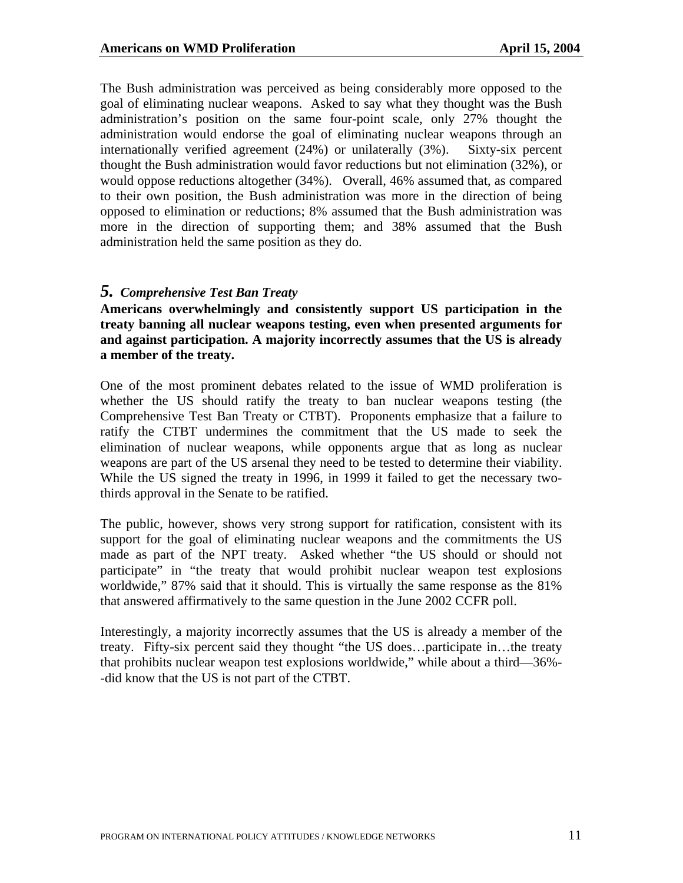The Bush administration was perceived as being considerably more opposed to the goal of eliminating nuclear weapons. Asked to say what they thought was the Bush administration's position on the same four-point scale, only 27% thought the administration would endorse the goal of eliminating nuclear weapons through an internationally verified agreement (24%) or unilaterally (3%). Sixty-six percent thought the Bush administration would favor reductions but not elimination (32%), or would oppose reductions altogether (34%). Overall, 46% assumed that, as compared to their own position, the Bush administration was more in the direction of being opposed to elimination or reductions; 8% assumed that the Bush administration was more in the direction of supporting them; and 38% assumed that the Bush administration held the same position as they do.

#### *5. Comprehensive Test Ban Treaty*

**Americans overwhelmingly and consistently support US participation in the treaty banning all nuclear weapons testing, even when presented arguments for and against participation. A majority incorrectly assumes that the US is already a member of the treaty.**

One of the most prominent debates related to the issue of WMD proliferation is whether the US should ratify the treaty to ban nuclear weapons testing (the Comprehensive Test Ban Treaty or CTBT). Proponents emphasize that a failure to ratify the CTBT undermines the commitment that the US made to seek the elimination of nuclear weapons, while opponents argue that as long as nuclear weapons are part of the US arsenal they need to be tested to determine their viability. While the US signed the treaty in 1996, in 1999 it failed to get the necessary twothirds approval in the Senate to be ratified.

The public, however, shows very strong support for ratification, consistent with its support for the goal of eliminating nuclear weapons and the commitments the US made as part of the NPT treaty. Asked whether "the US should or should not participate" in "the treaty that would prohibit nuclear weapon test explosions worldwide," 87% said that it should. This is virtually the same response as the 81% that answered affirmatively to the same question in the June 2002 CCFR poll.

Interestingly, a majority incorrectly assumes that the US is already a member of the treaty. Fifty-six percent said they thought "the US does…participate in…the treaty that prohibits nuclear weapon test explosions worldwide," while about a third—36%- -did know that the US is not part of the CTBT.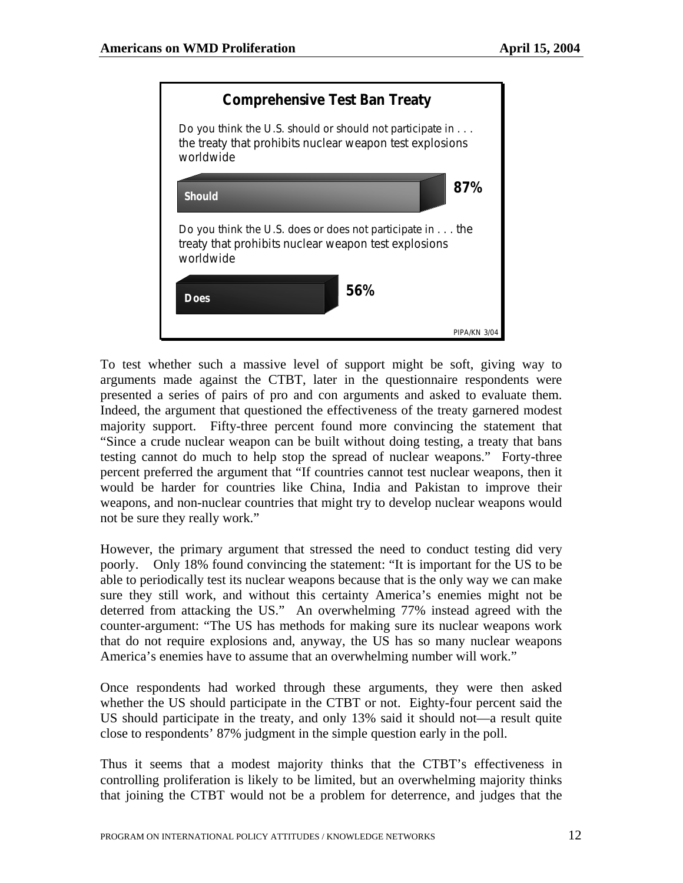

To test whether such a massive level of support might be soft, giving way to arguments made against the CTBT, later in the questionnaire respondents were presented a series of pairs of pro and con arguments and asked to evaluate them. Indeed, the argument that questioned the effectiveness of the treaty garnered modest majority support. Fifty-three percent found more convincing the statement that "Since a crude nuclear weapon can be built without doing testing, a treaty that bans testing cannot do much to help stop the spread of nuclear weapons." Forty-three percent preferred the argument that "If countries cannot test nuclear weapons, then it would be harder for countries like China, India and Pakistan to improve their weapons, and non-nuclear countries that might try to develop nuclear weapons would not be sure they really work."

However, the primary argument that stressed the need to conduct testing did very poorly. Only 18% found convincing the statement: "It is important for the US to be able to periodically test its nuclear weapons because that is the only way we can make sure they still work, and without this certainty America's enemies might not be deterred from attacking the US." An overwhelming 77% instead agreed with the counter-argument: "The US has methods for making sure its nuclear weapons work that do not require explosions and, anyway, the US has so many nuclear weapons America's enemies have to assume that an overwhelming number will work."

Once respondents had worked through these arguments, they were then asked whether the US should participate in the CTBT or not. Eighty-four percent said the US should participate in the treaty, and only 13% said it should not—a result quite close to respondents' 87% judgment in the simple question early in the poll.

Thus it seems that a modest majority thinks that the CTBT's effectiveness in controlling proliferation is likely to be limited, but an overwhelming majority thinks that joining the CTBT would not be a problem for deterrence, and judges that the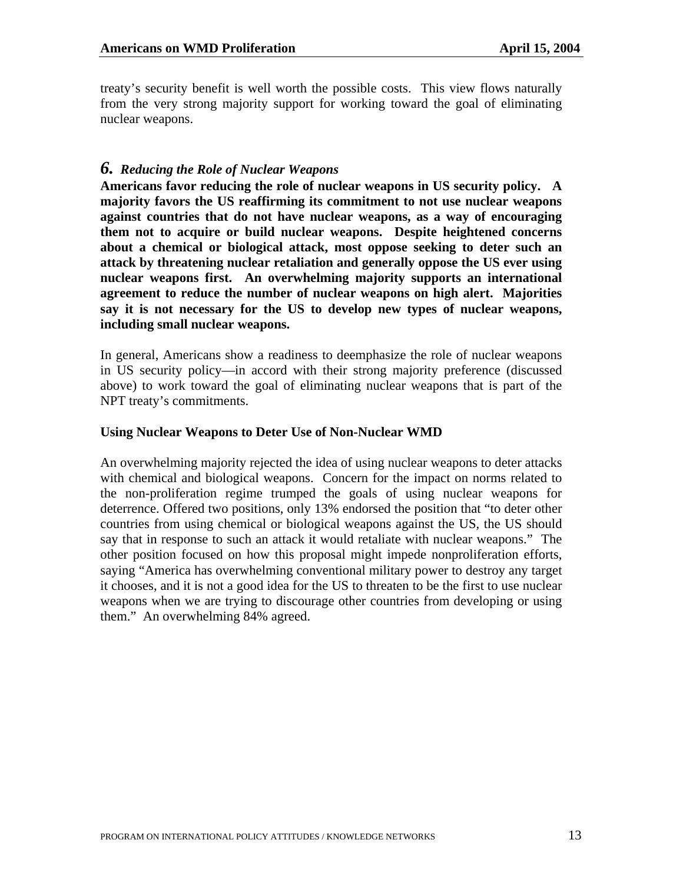treaty's security benefit is well worth the possible costs. This view flows naturally from the very strong majority support for working toward the goal of eliminating nuclear weapons.

#### *6. Reducing the Role of Nuclear Weapons*

**Americans favor reducing the role of nuclear weapons in US security policy. A majority favors the US reaffirming its commitment to not use nuclear weapons against countries that do not have nuclear weapons, as a way of encouraging them not to acquire or build nuclear weapons. Despite heightened concerns about a chemical or biological attack, most oppose seeking to deter such an attack by threatening nuclear retaliation and generally oppose the US ever using nuclear weapons first. An overwhelming majority supports an international agreement to reduce the number of nuclear weapons on high alert. Majorities say it is not necessary for the US to develop new types of nuclear weapons, including small nuclear weapons.** 

In general, Americans show a readiness to deemphasize the role of nuclear weapons in US security policy—in accord with their strong majority preference (discussed above) to work toward the goal of eliminating nuclear weapons that is part of the NPT treaty's commitments.

#### **Using Nuclear Weapons to Deter Use of Non-Nuclear WMD**

An overwhelming majority rejected the idea of using nuclear weapons to deter attacks with chemical and biological weapons. Concern for the impact on norms related to the non-proliferation regime trumped the goals of using nuclear weapons for deterrence. Offered two positions, only 13% endorsed the position that "to deter other countries from using chemical or biological weapons against the US, the US should say that in response to such an attack it would retaliate with nuclear weapons." The other position focused on how this proposal might impede nonproliferation efforts, saying "America has overwhelming conventional military power to destroy any target it chooses, and it is not a good idea for the US to threaten to be the first to use nuclear weapons when we are trying to discourage other countries from developing or using them." An overwhelming 84% agreed.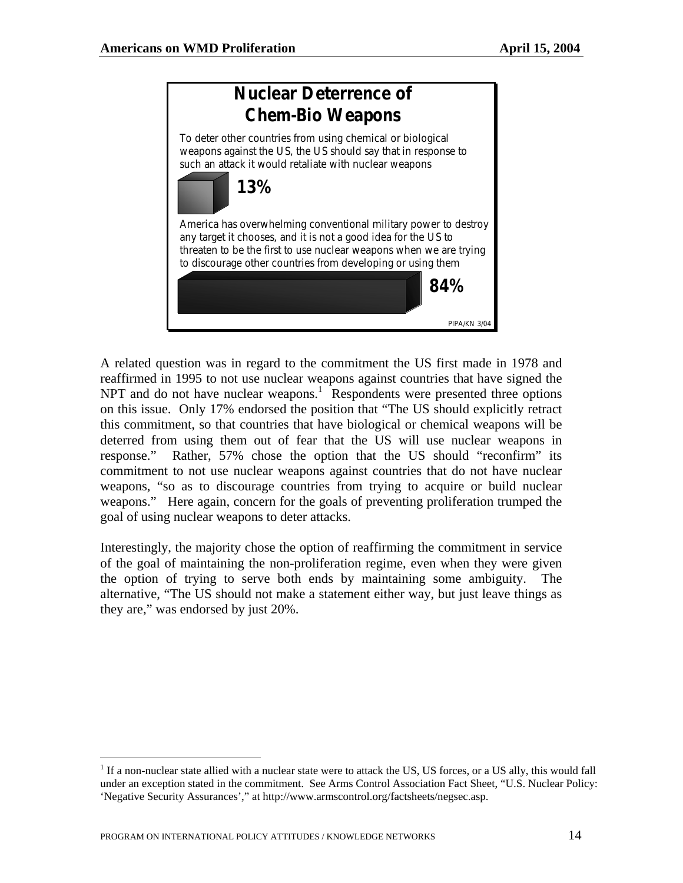

A related question was in regard to the commitment the US first made in 1978 and reaffirmed in 1995 to not use nuclear weapons against countries that have signed the NPT and do not have nuclear weapons.<sup>1</sup> Respondents were presented three options on this issue. Only 17% endorsed the position that "The US should explicitly retract this commitment, so that countries that have biological or chemical weapons will be deterred from using them out of fear that the US will use nuclear weapons in response." Rather, 57% chose the option that the US should "reconfirm" its commitment to not use nuclear weapons against countries that do not have nuclear weapons, "so as to discourage countries from trying to acquire or build nuclear weapons." Here again, concern for the goals of preventing proliferation trumped the goal of using nuclear weapons to deter attacks.

Interestingly, the majority chose the option of reaffirming the commitment in service of the goal of maintaining the non-proliferation regime, even when they were given the option of trying to serve both ends by maintaining some ambiguity. The alternative, "The US should not make a statement either way, but just leave things as they are," was endorsed by just 20%.

 $\overline{a}$ 

<span id="page-15-0"></span> $<sup>1</sup>$  If a non-nuclear state allied with a nuclear state were to attack the US, US forces, or a US ally, this would fall</sup> under an exception stated in the commitment. See Arms Control Association Fact Sheet, "U.S. Nuclear Policy: 'Negative Security Assurances'," at http://www.armscontrol.org/factsheets/negsec.asp.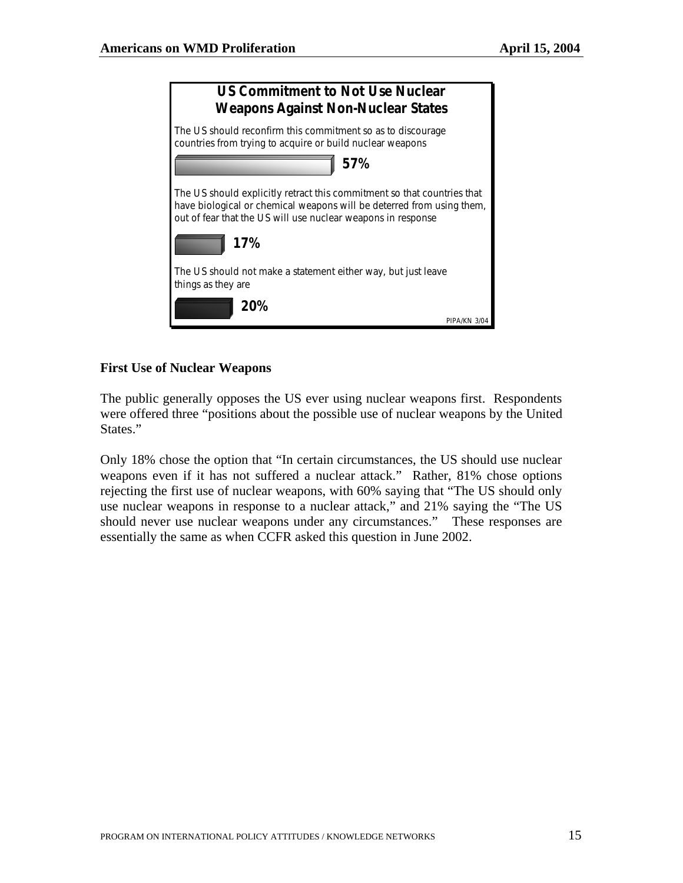

#### **First Use of Nuclear Weapons**

The public generally opposes the US ever using nuclear weapons first. Respondents were offered three "positions about the possible use of nuclear weapons by the United States."

Only 18% chose the option that "In certain circumstances, the US should use nuclear weapons even if it has not suffered a nuclear attack." Rather, 81% chose options rejecting the first use of nuclear weapons, with 60% saying that "The US should only use nuclear weapons in response to a nuclear attack," and 21% saying the "The US should never use nuclear weapons under any circumstances." These responses are essentially the same as when CCFR asked this question in June 2002.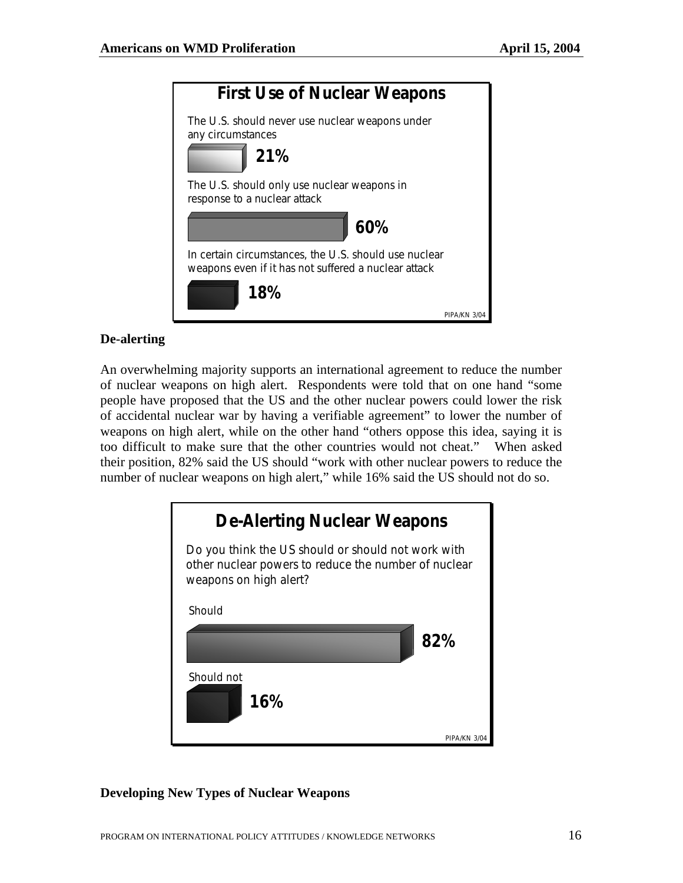

#### **De-alerting**

An overwhelming majority supports an international agreement to reduce the number of nuclear weapons on high alert. Respondents were told that on one hand "some people have proposed that the US and the other nuclear powers could lower the risk of accidental nuclear war by having a verifiable agreement" to lower the number of weapons on high alert, while on the other hand "others oppose this idea, saying it is too difficult to make sure that the other countries would not cheat." When asked their position, 82% said the US should "work with other nuclear powers to reduce the number of nuclear weapons on high alert," while 16% said the US should not do so.



#### **Developing New Types of Nuclear Weapons**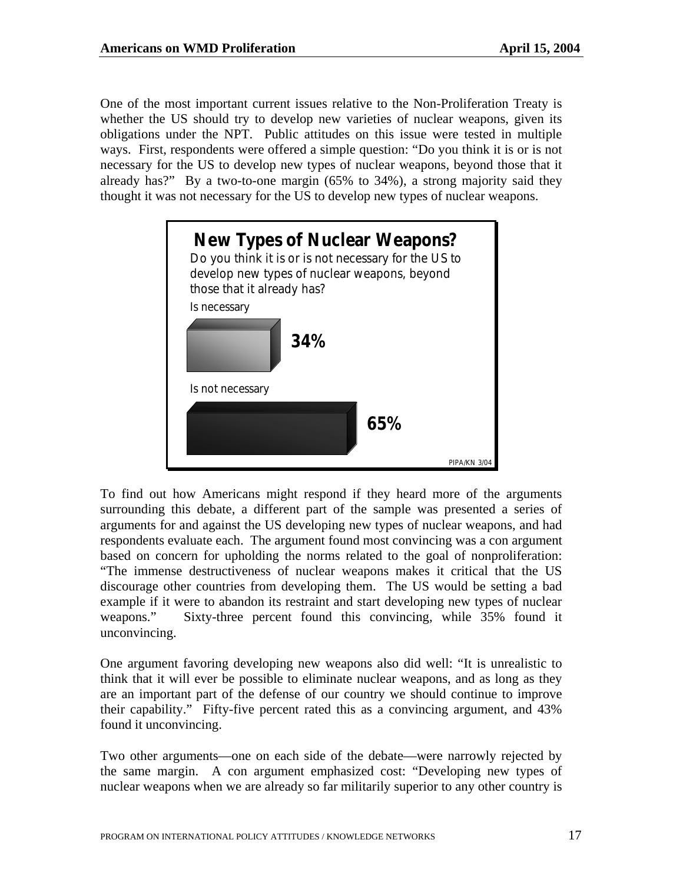One of the most important current issues relative to the Non-Proliferation Treaty is whether the US should try to develop new varieties of nuclear weapons, given its obligations under the NPT. Public attitudes on this issue were tested in multiple ways. First, respondents were offered a simple question: "Do you think it is or is not necessary for the US to develop new types of nuclear weapons, beyond those that it already has?" By a two-to-one margin (65% to 34%), a strong majority said they thought it was not necessary for the US to develop new types of nuclear weapons.



To find out how Americans might respond if they heard more of the arguments surrounding this debate, a different part of the sample was presented a series of arguments for and against the US developing new types of nuclear weapons, and had respondents evaluate each. The argument found most convincing was a con argument based on concern for upholding the norms related to the goal of nonproliferation: "The immense destructiveness of nuclear weapons makes it critical that the US discourage other countries from developing them. The US would be setting a bad example if it were to abandon its restraint and start developing new types of nuclear weapons." Sixty-three percent found this convincing, while 35% found it unconvincing.

One argument favoring developing new weapons also did well: "It is unrealistic to think that it will ever be possible to eliminate nuclear weapons, and as long as they are an important part of the defense of our country we should continue to improve their capability." Fifty-five percent rated this as a convincing argument, and 43% found it unconvincing.

Two other arguments—one on each side of the debate—were narrowly rejected by the same margin. A con argument emphasized cost: "Developing new types of nuclear weapons when we are already so far militarily superior to any other country is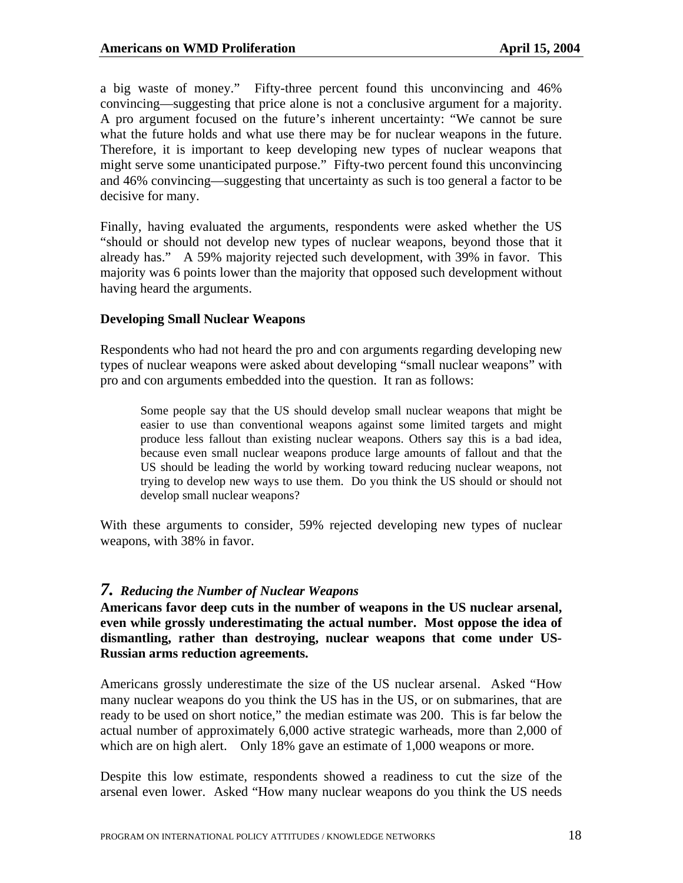a big waste of money." Fifty-three percent found this unconvincing and 46% convincing—suggesting that price alone is not a conclusive argument for a majority. A pro argument focused on the future's inherent uncertainty: "We cannot be sure what the future holds and what use there may be for nuclear weapons in the future. Therefore, it is important to keep developing new types of nuclear weapons that might serve some unanticipated purpose." Fifty-two percent found this unconvincing and 46% convincing—suggesting that uncertainty as such is too general a factor to be decisive for many.

Finally, having evaluated the arguments, respondents were asked whether the US "should or should not develop new types of nuclear weapons, beyond those that it already has." A 59% majority rejected such development, with 39% in favor. This majority was 6 points lower than the majority that opposed such development without having heard the arguments.

#### **Developing Small Nuclear Weapons**

Respondents who had not heard the pro and con arguments regarding developing new types of nuclear weapons were asked about developing "small nuclear weapons" with pro and con arguments embedded into the question. It ran as follows:

Some people say that the US should develop small nuclear weapons that might be easier to use than conventional weapons against some limited targets and might produce less fallout than existing nuclear weapons. Others say this is a bad idea, because even small nuclear weapons produce large amounts of fallout and that the US should be leading the world by working toward reducing nuclear weapons, not trying to develop new ways to use them. Do you think the US should or should not develop small nuclear weapons?

With these arguments to consider, 59% rejected developing new types of nuclear weapons, with 38% in favor.

#### *7. Reducing the Number of Nuclear Weapons*

**Americans favor deep cuts in the number of weapons in the US nuclear arsenal, even while grossly underestimating the actual number. Most oppose the idea of dismantling, rather than destroying, nuclear weapons that come under US-Russian arms reduction agreements.** 

Americans grossly underestimate the size of the US nuclear arsenal. Asked "How many nuclear weapons do you think the US has in the US, or on submarines, that are ready to be used on short notice," the median estimate was 200. This is far below the actual number of approximately 6,000 active strategic warheads, more than 2,000 of which are on high alert. Only 18% gave an estimate of 1,000 weapons or more.

Despite this low estimate, respondents showed a readiness to cut the size of the arsenal even lower. Asked "How many nuclear weapons do you think the US needs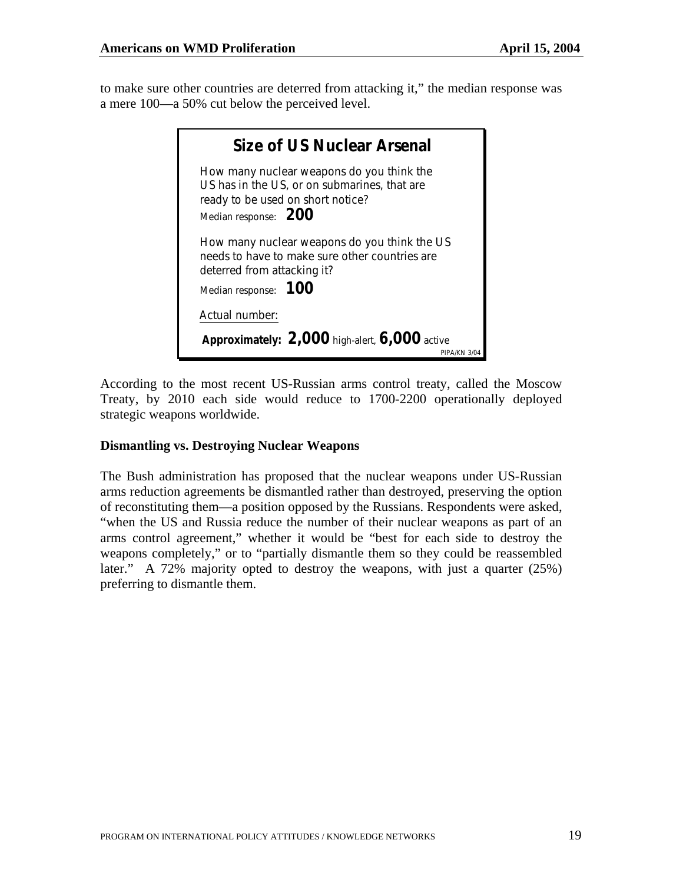to make sure other countries are deterred from attacking it," the median response was a mere 100—a 50% cut below the perceived level.

| Size of US Nuclear Arsenal                                                                                                                             |              |
|--------------------------------------------------------------------------------------------------------------------------------------------------------|--------------|
| How many nuclear weapons do you think the<br>US has in the US, or on submarines, that are<br>ready to be used on short notice?<br>Median response: 200 |              |
| How many nuclear weapons do you think the US<br>needs to have to make sure other countries are<br>deterred from attacking it?<br>Median response: 100  |              |
| Actual number:<br>Approximately: $2,000$ high-alert, $6,000$ active                                                                                    | PIPA/KN 3/04 |

According to the most recent US-Russian arms control treaty, called the Moscow Treaty, by 2010 each side would reduce to 1700-2200 operationally deployed strategic weapons worldwide.

#### **Dismantling vs. Destroying Nuclear Weapons**

The Bush administration has proposed that the nuclear weapons under US-Russian arms reduction agreements be dismantled rather than destroyed, preserving the option of reconstituting them—a position opposed by the Russians. Respondents were asked, "when the US and Russia reduce the number of their nuclear weapons as part of an arms control agreement," whether it would be "best for each side to destroy the weapons completely," or to "partially dismantle them so they could be reassembled later." A 72% majority opted to destroy the weapons, with just a quarter (25%) preferring to dismantle them.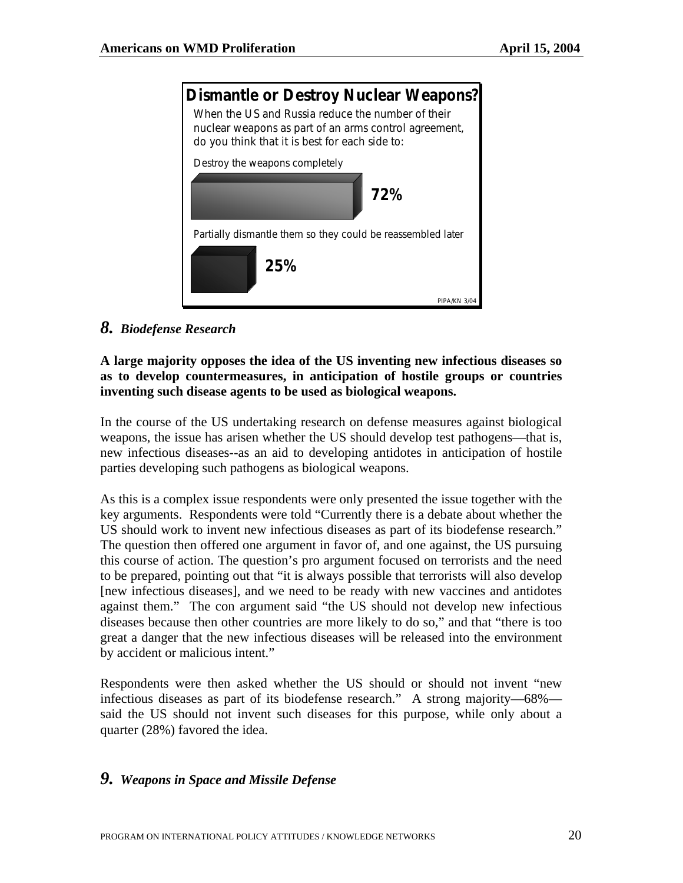

*8. Biodefense Research* 

## **A large majority opposes the idea of the US inventing new infectious diseases so as to develop countermeasures, in anticipation of hostile groups or countries inventing such disease agents to be used as biological weapons.**

In the course of the US undertaking research on defense measures against biological weapons, the issue has arisen whether the US should develop test pathogens—that is, new infectious diseases--as an aid to developing antidotes in anticipation of hostile parties developing such pathogens as biological weapons.

As this is a complex issue respondents were only presented the issue together with the key arguments. Respondents were told "Currently there is a debate about whether the US should work to invent new infectious diseases as part of its biodefense research." The question then offered one argument in favor of, and one against, the US pursuing this course of action. The question's pro argument focused on terrorists and the need to be prepared, pointing out that "it is always possible that terrorists will also develop [new infectious diseases], and we need to be ready with new vaccines and antidotes against them." The con argument said "the US should not develop new infectious diseases because then other countries are more likely to do so," and that "there is too great a danger that the new infectious diseases will be released into the environment by accident or malicious intent."

Respondents were then asked whether the US should or should not invent "new infectious diseases as part of its biodefense research." A strong majority—68% said the US should not invent such diseases for this purpose, while only about a quarter (28%) favored the idea.

# *9. Weapons in Space and Missile Defense*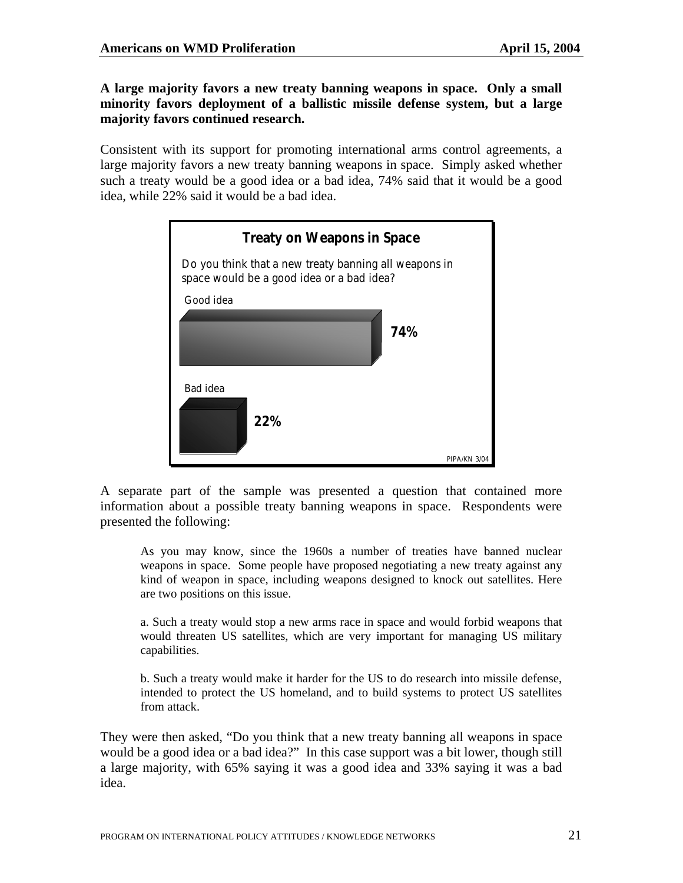**A large majority favors a new treaty banning weapons in space. Only a small minority favors deployment of a ballistic missile defense system, but a large majority favors continued research.** 

Consistent with its support for promoting international arms control agreements, a large majority favors a new treaty banning weapons in space. Simply asked whether such a treaty would be a good idea or a bad idea, 74% said that it would be a good idea, while 22% said it would be a bad idea.



A separate part of the sample was presented a question that contained more information about a possible treaty banning weapons in space. Respondents were presented the following:

As you may know, since the 1960s a number of treaties have banned nuclear weapons in space. Some people have proposed negotiating a new treaty against any kind of weapon in space, including weapons designed to knock out satellites. Here are two positions on this issue.

a. Such a treaty would stop a new arms race in space and would forbid weapons that would threaten US satellites, which are very important for managing US military capabilities.

b. Such a treaty would make it harder for the US to do research into missile defense, intended to protect the US homeland, and to build systems to protect US satellites from attack.

They were then asked, "Do you think that a new treaty banning all weapons in space would be a good idea or a bad idea?" In this case support was a bit lower, though still a large majority, with 65% saying it was a good idea and 33% saying it was a bad idea.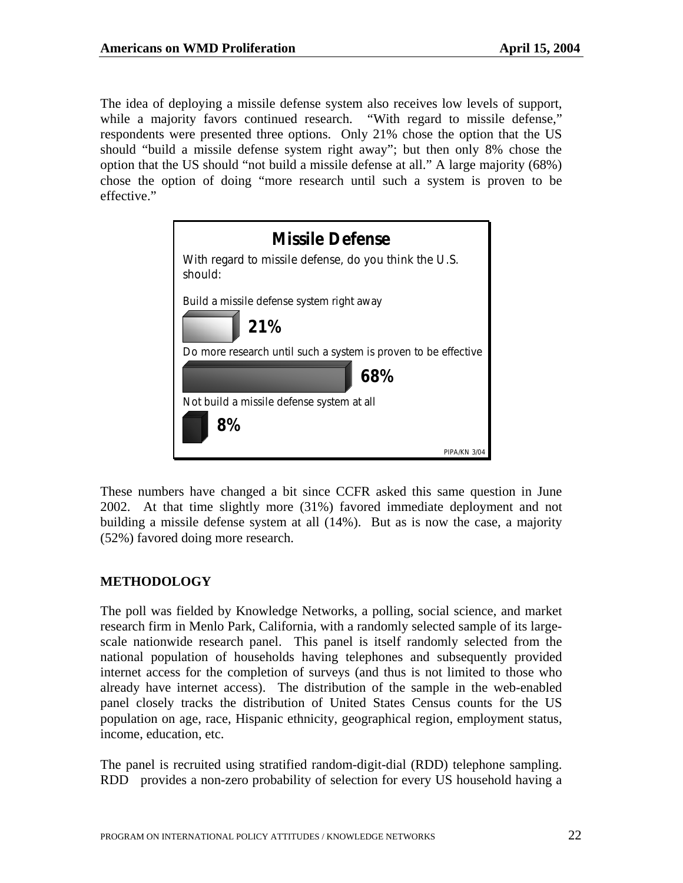The idea of deploying a missile defense system also receives low levels of support, while a majority favors continued research. "With regard to missile defense," respondents were presented three options. Only 21% chose the option that the US should "build a missile defense system right away"; but then only 8% chose the option that the US should "not build a missile defense at all." A large majority (68%) chose the option of doing "more research until such a system is proven to be effective."



These numbers have changed a bit since CCFR asked this same question in June 2002. At that time slightly more (31%) favored immediate deployment and not building a missile defense system at all (14%). But as is now the case, a majority (52%) favored doing more research.

#### **METHODOLOGY**

The poll was fielded by Knowledge Networks, a polling, social science, and market research firm in Menlo Park, California, with a randomly selected sample of its largescale nationwide research panel. This panel is itself randomly selected from the national population of households having telephones and subsequently provided internet access for the completion of surveys (and thus is not limited to those who already have internet access). The distribution of the sample in the web-enabled panel closely tracks the distribution of United States Census counts for the US population on age, race, Hispanic ethnicity, geographical region, employment status, income, education, etc.

The panel is recruited using stratified random-digit-dial (RDD) telephone sampling. RDD provides a non-zero probability of selection for every US household having a